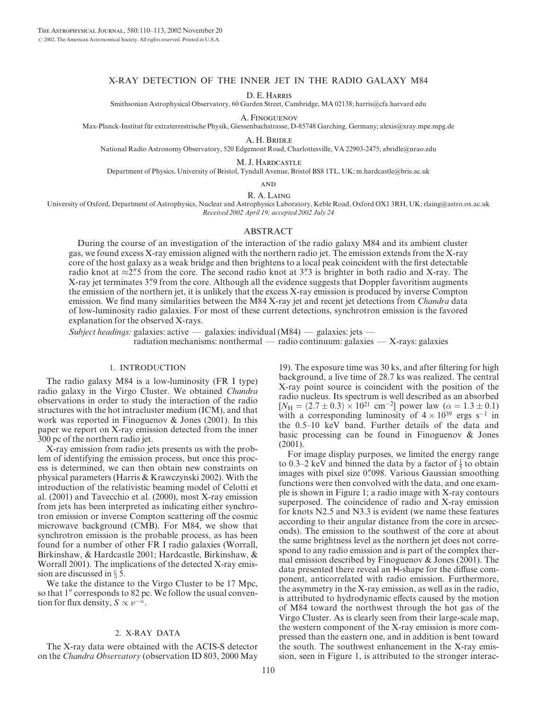### X-RAY DETECTION OF THE INNER JET IN THE RADIO GALAXY M84

D. E. Harris

Smithsonian Astrophysical Observatory, 60 Garden Street, Cambridge, MA 02138; harris@cfa.harvard.edu

A. Finoguenov Max-Planck-Institut für extraterrestrische Physik, Giessenbachstrasse, D-85748 Garching, Germany; alexis@xray.mpe.mpg.de

A. H. Bridle

National Radio Astronomy Observatory, 520 Edgemont Road, Charlottesville, VA 22903-2475; abridle@nrao.edu

M. J. Hardcastle

Department of Physics, University of Bristol, Tyndall Avenue, Bristol BS8 1TL, UK; m.hardcastle@bris.ac.uk

**AND** 

## R. A. Laing

University of Oxford, Department of Astrophysics, Nuclear and Astrophysics Laboratory, Keble Road, Oxford OX1 3RH, UK; rlaing@astro.ox.ac.uk Received 2002 April 19; accepted 2002 July 24

#### ABSTRACT

During the course of an investigation of the interaction of the radio galaxy M84 and its ambient cluster gas, we found excess X-ray emission aligned with the northern radio jet. The emission extends from the X-ray core of the host galaxy as a weak bridge and then brightens to a local peak coincident with the first detectable radio knot at  $\approx$ 2." S from the core. The second radio knot at 3." 3 is brighter in both radio and X-ray. The X-ray jet terminates 3. The step from the core. Although all the evidence suggests that Doppler favoritism augments the emission of the northern jet, it is unlikely that the excess X-ray emission is produced by inverse Compton emission. We find many similarities between the M84 X-ray jet and recent jet detections from *Chandra* data of low-luminosity radio galaxies. For most of these current detections, synchrotron emission is the favored explanation for the observed X-rays.

Subject headings: galaxies: active — galaxies: individual  $(M84)$  — galaxies: jets radiation mechanisms: nonthermal — radio continuum: galaxies — X-rays: galaxies

### 1. INTRODUCTION

The radio galaxy M84 is a low-luminosity (FR I type) radio galaxy in the Virgo Cluster. We obtained Chandra observations in order to study the interaction of the radio structures with the hot intracluster medium (ICM), and that work was reported in Finoguenov & Jones (2001). In this paper we report on X-ray emission detected from the inner 300 pc of the northern radio jet.

X-ray emission from radio jets presents us with the problem of identifying the emission process, but once this process is determined, we can then obtain new constraints on physical parameters (Harris & Krawczynski 2002). With the introduction of the relativistic beaming model of Celotti et al. (2001) and Tavecchio et al. (2000), most X-ray emission from jets has been interpreted as indicating either synchrotron emission or inverse Compton scattering off the cosmic microwave background (CMB). For M84, we show that synchrotron emission is the probable process, as has been found for a number of other FR I radio galaxies (Worrall, Birkinshaw, & Hardcastle 2001; Hardcastle, Birkinshaw, & Worrall 2001). The implications of the detected X-ray emission are discussed in  $\S$  5.

We take the distance to the Virgo Cluster to be 17 Mpc, so that 1" corresponds to 82 pc. We follow the usual convention for flux density,  $S \propto \nu^{-\alpha}$ .

# 2. X-RAY DATA

The X-ray data were obtained with the ACIS-S detector on the Chandra Observatory (observation ID 803, 2000 May

19). The exposure time was 30 ks, and after filtering for high background, a live time of 28.7 ks was realized. The central X-ray point source is coincident with the position of the radio nucleus. Its spectrum is well described as an absorbed  $[N_{\rm H} = (2.7 \pm 0.3) \times 10^{21} \text{ cm}^{-2}]$  power law  $(\alpha = 1.3 \pm 0.1)$ with a corresponding luminosity of  $4 \times 10^{39}$  ergs s<sup>-1</sup> in the 0.5–10 keV band. Further details of the data and basic processing can be found in Finoguenov & Jones (2001).

For image display purposes, we limited the energy range to 0.3–2 keV and binned the data by a factor of  $\frac{1}{5}$  to obtain images with pixel size 0."098. Various Gaussian smoothing functions were then convolved with the data, and one example is shown in Figure 1; a radio image with X-ray contours superposed. The coincidence of radio and X-ray emission for knots N2.5 and N3.3 is evident (we name these features according to their angular distance from the core in arcseconds). The emission to the southwest of the core at about the same brightness level as the northern jet does not correspond to any radio emission and is part of the complex thermal emission described by Finoguenov & Jones (2001). The data presented there reveal an H-shape for the diffuse component, anticorrelated with radio emission. Furthermore, the asymmetry in the X-ray emission, as well as in the radio, is attributed to hydrodynamic effects caused by the motion of M84 toward the northwest through the hot gas of the Virgo Cluster. As is clearly seen from their large-scale map, the western component of the X-ray emission is more compressed than the eastern one, and in addition is bent toward the south. The southwest enhancement in the X-ray emission, seen in Figure 1, is attributed to the stronger interac-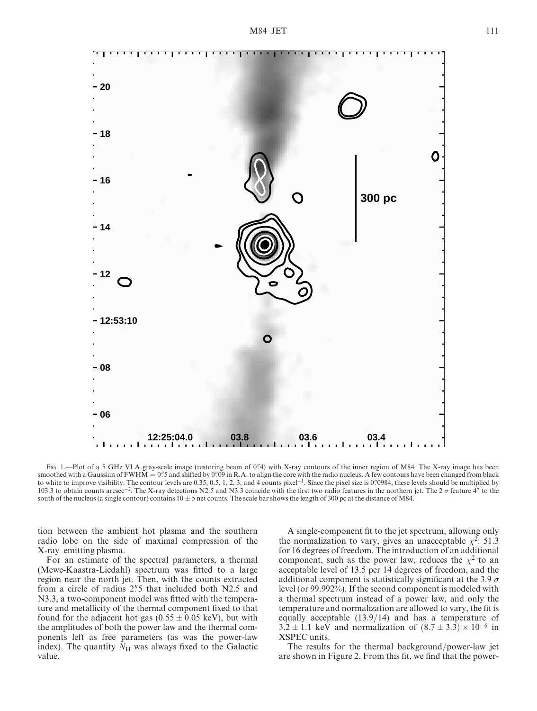

Fig. 1.—Plot of a 5 GHz VLA gray-scale image (restoring beam of 0."4) with X-ray contours of the inner region of M84. The X-ray image has been smoothed with a Gaussian of FWHM =  $0\rlap.{''}5$  and shifted by  $0\rlap.{''}09$  in R.A. to align the core with the radio nucleus. A few contours have been changed from black to white to improve visibility. The contour levels are 0.35, 0.5, 1, 2, 3, and 4 counts pixel<sup>-1</sup>. Since the pixel size is 0. 0984, these levels should be multiplied by 103.3 to obtain counts arcsec<sup>-2</sup>. The X-ray detections N2.5 and N3.3 coincide with the first two radio features in the northern jet. The 2  $\sigma$  feature 4" to the south of the nucleus (a single contour) contains  $10 \pm 5$  net counts. The scale bar shows the length of 300 pc at the distance of M84.

tion between the ambient hot plasma and the southern radio lobe on the side of maximal compression of the X-ray–emitting plasma.

For an estimate of the spectral parameters, a thermal (Mewe-Kaastra-Liedahl) spectrum was fitted to a large region near the north jet. Then, with the counts extracted from a circle of radius 2. that included both N2.5 and N3.3, a two-component model was fitted with the temperature and metallicity of the thermal component fixed to that found for the adjacent hot gas  $(0.55 \pm 0.05 \text{ keV})$ , but with the amplitudes of both the power law and the thermal components left as free parameters (as was the power-law index). The quantity  $N_H$  was always fixed to the Galactic value.

A single-component fit to the jet spectrum, allowing only the normalization to vary, gives an unacceptable  $\chi^2$ : 51.3 for 16 degrees of freedom. The introduction of an additional component, such as the power law, reduces the  $\chi^2$  to an acceptable level of 13.5 per 14 degrees of freedom, and the additional component is statistically significant at the 3.9  $\sigma$ level (or 99.992%). If the second component is modeled with a thermal spectrum instead of a power law, and only the temperature and normalization are allowed to vary, the fit is equally acceptable  $(13.9/14)$  and has a temperature of  $3.2 \pm 1.1$  keV and normalization of  $(8.7 \pm 3.3) \times 10^{-6}$  in XSPEC units.

The results for the thermal background/power-law jet are shown in Figure 2. From this fit, we find that the power-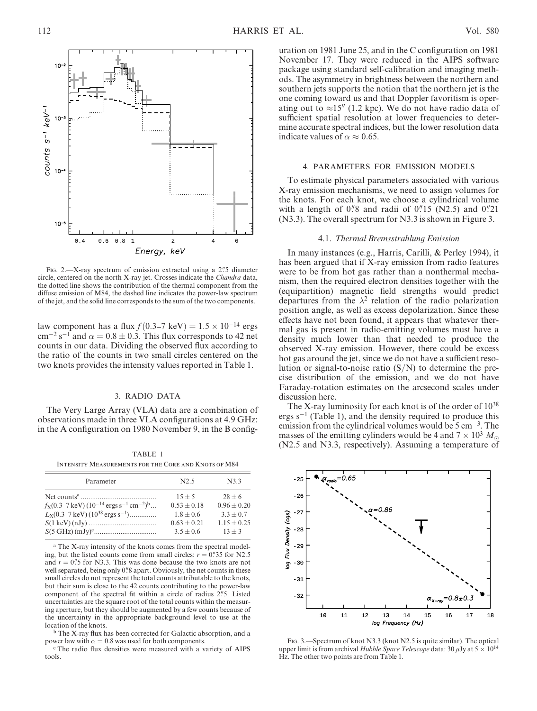

FIG. 2.—X-ray spectrum of emission extracted using a  $2\frac{7}{5}$  diameter circle, centered on the north X-ray jet. Crosses indicate the Chandra data, the dotted line shows the contribution of the thermal component from the diffuse emission of M84, the dashed line indicates the power-law spectrum of the jet, and the solid line corresponds to the sum of the two components.

law component has a flux  $f(0.3-7 \text{ keV}) = 1.5 \times 10^{-14} \text{ ergs}$  $\text{cm}^{-2} \text{ s}^{-1}$  and  $\alpha = 0.8 \pm 0.3$ . This flux corresponds to 42 net counts in our data. Dividing the observed flux according to the ratio of the counts in two small circles centered on the two knots provides the intensity values reported in Table 1.

## 3. RADIO DATA

The Very Large Array (VLA) data are a combination of observations made in three VLA configurations at 4.9 GHz: in the A configuration on 1980 November 9, in the B config-

TABLE 1 Intensity Measurements for the Core and Knots of M84

| Parameter                                                                                            | N2.5          | N3.3          |
|------------------------------------------------------------------------------------------------------|---------------|---------------|
|                                                                                                      | $15 + 5$      | $28 + 6$      |
| $f_{\rm X}(0.3-7 \,\rm keV)$ (10 <sup>-14</sup> ergs s <sup>-1</sup> cm <sup>-2</sup> ) <sup>b</sup> | $0.53 + 0.18$ | $0.96 + 0.20$ |
| $L_{\rm X}(0.3-7 \,\text{keV})$ (10 <sup>38</sup> ergs s <sup>-1</sup> )                             | $1.8 + 0.6$   | $3.3 + 0.7$   |
|                                                                                                      | $0.63 + 0.21$ | $1.15 + 0.25$ |
|                                                                                                      | $3.5 + 0.6$   | $13 + 3$      |

<sup>a</sup> The X-ray intensity of the knots comes from the spectral modeling, but the listed counts come from small circles:  $r = 0$ . 35 for N2.5 and  $r = 0$ . 5 for N3.3. This was done because the two knots are not well separated, being only 0."8 apart. Obviously, the net counts in these small circles do not represent the total counts attributable to the knots, but their sum is close to the 42 counts contributing to the power-law component of the spectral fit within a circle of radius 2"5. Listed uncertainties are the square root of the total counts within the measuring aperture, but they should be augmented by a few counts because of the uncertainty in the appropriate background level to use at the location of the knots.

<sup>b</sup> The X-ray flux has been corrected for Galactic absorption, and a power law with  $\alpha = 0.8$  was used for both components.

<sup>c</sup> The radio flux densities were measured with a variety of AIPS tools.

uration on 1981 June 25, and in the C configuration on 1981 November 17. They were reduced in the AIPS software package using standard self-calibration and imaging methods. The asymmetry in brightness between the northern and southern jets supports the notion that the northern jet is the one coming toward us and that Doppler favoritism is operating out to  $\approx 15$ <sup>n</sup> (1.2 kpc). We do not have radio data of sufficient spatial resolution at lower frequencies to determine accurate spectral indices, but the lower resolution data indicate values of  $\alpha \approx 0.65$ .

### 4. PARAMETERS FOR EMISSION MODELS

To estimate physical parameters associated with various X-ray emission mechanisms, we need to assign volumes for the knots. For each knot, we choose a cylindrical volume with a length of  $0\rlap{.}^{\prime\prime}8$  and radii of  $0\rlap{.}^{\prime\prime}15$  (N2.5) and  $0\rlap{.}^{\prime\prime}21$ (N3.3). The overall spectrum for N3.3 is shown in Figure 3.

#### 4.1. Thermal Bremsstrahlung Emission

In many instances (e.g., Harris, Carilli, & Perley 1994), it has been argued that if X-ray emission from radio features were to be from hot gas rather than a nonthermal mechanism, then the required electron densities together with the (equipartition) magnetic field strengths would predict departures from the  $\lambda^2$  relation of the radio polarization position angle, as well as excess depolarization. Since these effects have not been found, it appears that whatever thermal gas is present in radio-emitting volumes must have a density much lower than that needed to produce the observed X-ray emission. However, there could be excess hot gas around the jet, since we do not have a sufficient resolution or signal-to-noise ratio  $(S/N)$  to determine the precise distribution of the emission, and we do not have Faraday-rotation estimates on the arcsecond scales under discussion here.

The X-ray luminosity for each knot is of the order of  $10^{38}$ ergs  $s^{-1}$  (Table 1), and the density required to produce this emission from the cylindrical volumes would be  $5 \text{ cm}^{-3}$ . The masses of the emitting cylinders would be 4 and  $7 \times 10^3$   $M_{\odot}$ (N2.5 and N3.3, respectively). Assuming a temperature of



Fig. 3.—Spectrum of knot N3.3 (knot N2.5 is quite similar). The optical upper limit is from archival Hubble Space Telescope data: 30  $\mu$ Jy at 5  $\times$  10<sup>14</sup> Hz. The other two points are from Table 1.